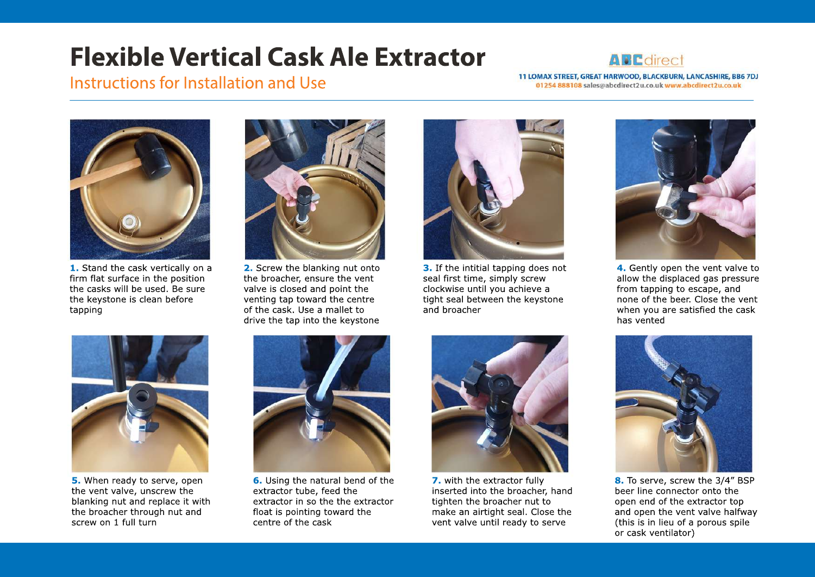## **FlexibleVerticalCaskAleExtractor**

## **APEdirect**

Instructions for Installation and Use

11 LOMAX STREET, GREAT HARWOOD, BLACKBURN, LANCASHIRE, BB6 7DJ 01254 888108 sales@abcdirect2u.co.uk www.abcdirect2u.co.uk



**1.** Stand the cask vertically on a firm flat surface in the position the casks will be used. Be sure the keystone is clean before tapping



**2.** Screw the blanking nut onto the broacher, ensure the vent valve is closed and point the venting tap toward the centre of the cask. Use a mallet to drive the tap into the keystone



**3.** If the intitial tapping does not seal first time, simply screw clockwise until you achieve a tight seal between the keystone and broacher



**4.** Gently open the vent valve to allow the displaced gas pressure from tapping to escape, and none of the beer. Close the vent when you are satisfied the cask has vented



**5.** When ready to serve, open the vent valve, unscrew the blanking nut and replace it with the broacher through nut and screw on 1 full turn



**6.** Using the natural bend of the extractor tube, feed the extractor in so the the extractor float is pointing toward the centre of the cask



**7.** with the extractor fully inserted into the broacher, hand tighten the broacher nut to make an airtight seal. Close the vent valve until ready to serve



8. To serve, screw the 3/4" BSP beer line connector onto the open end of the extractor top and open the vent valve halfway (this is in lieu of a porous spile or cask ventilator)